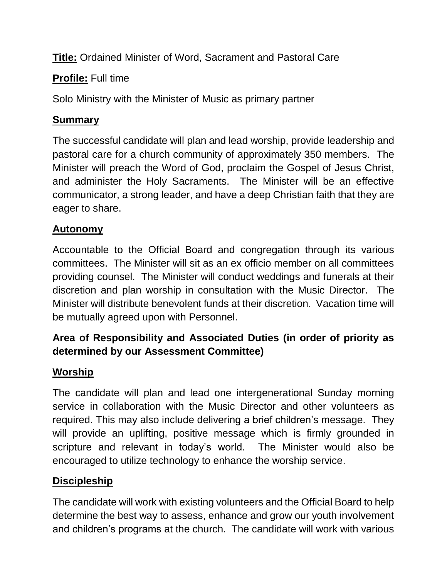**Title:** Ordained Minister of Word, Sacrament and Pastoral Care

**Profile:** Full time

Solo Ministry with the Minister of Music as primary partner

#### **Summary**

The successful candidate will plan and lead worship, provide leadership and pastoral care for a church community of approximately 350 members. The Minister will preach the Word of God, proclaim the Gospel of Jesus Christ, and administer the Holy Sacraments. The Minister will be an effective communicator, a strong leader, and have a deep Christian faith that they are eager to share.

### **Autonomy**

Accountable to the Official Board and congregation through its various committees. The Minister will sit as an ex officio member on all committees providing counsel. The Minister will conduct weddings and funerals at their discretion and plan worship in consultation with the Music Director. The Minister will distribute benevolent funds at their discretion. Vacation time will be mutually agreed upon with Personnel.

# **Area of Responsibility and Associated Duties (in order of priority as determined by our Assessment Committee)**

### **Worship**

The candidate will plan and lead one intergenerational Sunday morning service in collaboration with the Music Director and other volunteers as required. This may also include delivering a brief children's message. They will provide an uplifting, positive message which is firmly grounded in scripture and relevant in today's world. The Minister would also be encouraged to utilize technology to enhance the worship service.

### **Discipleship**

The candidate will work with existing volunteers and the Official Board to help determine the best way to assess, enhance and grow our youth involvement and children's programs at the church. The candidate will work with various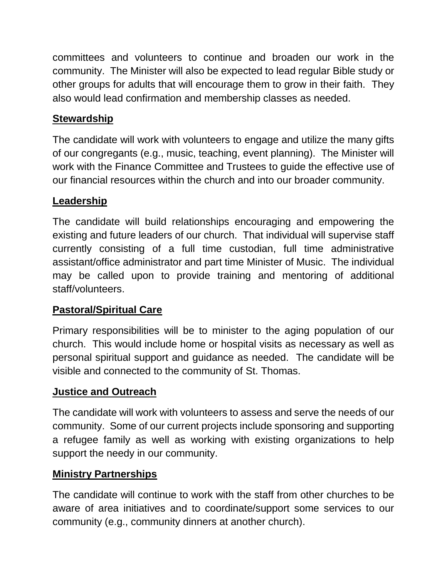committees and volunteers to continue and broaden our work in the community. The Minister will also be expected to lead regular Bible study or other groups for adults that will encourage them to grow in their faith. They also would lead confirmation and membership classes as needed.

## **Stewardship**

The candidate will work with volunteers to engage and utilize the many gifts of our congregants (e.g., music, teaching, event planning). The Minister will work with the Finance Committee and Trustees to guide the effective use of our financial resources within the church and into our broader community.

### **Leadership**

The candidate will build relationships encouraging and empowering the existing and future leaders of our church. That individual will supervise staff currently consisting of a full time custodian, full time administrative assistant/office administrator and part time Minister of Music. The individual may be called upon to provide training and mentoring of additional staff/volunteers.

### **Pastoral/Spiritual Care**

Primary responsibilities will be to minister to the aging population of our church. This would include home or hospital visits as necessary as well as personal spiritual support and guidance as needed. The candidate will be visible and connected to the community of St. Thomas.

#### **Justice and Outreach**

The candidate will work with volunteers to assess and serve the needs of our community. Some of our current projects include sponsoring and supporting a refugee family as well as working with existing organizations to help support the needy in our community.

### **Ministry Partnerships**

The candidate will continue to work with the staff from other churches to be aware of area initiatives and to coordinate/support some services to our community (e.g., community dinners at another church).